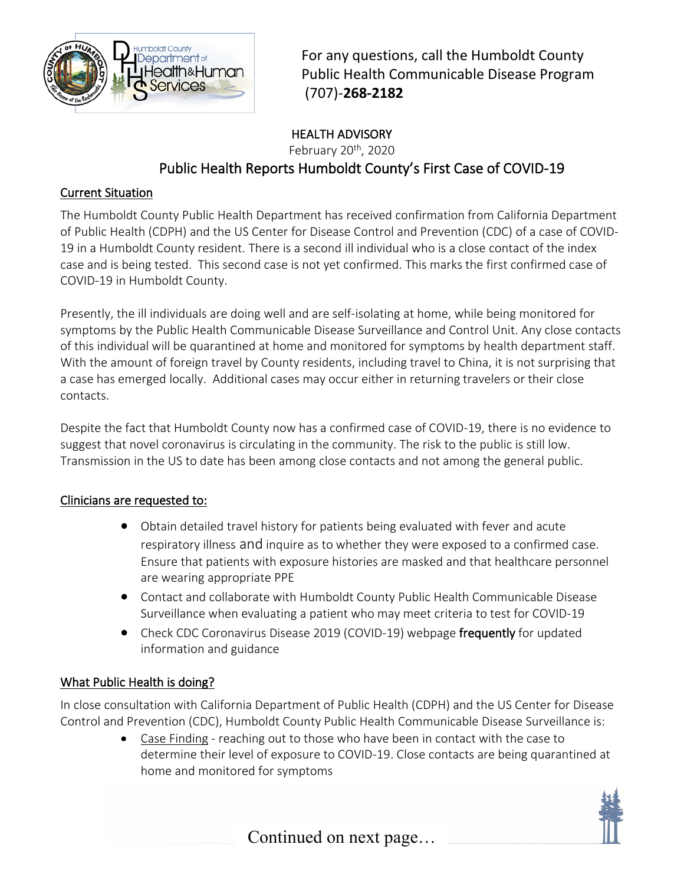

For any questions, call the Humboldt County Public Health Communicable Disease Program (707)-**268-2182**

# HEALTH ADVISORY February 20<sup>th</sup>, 2020 Public Health Reports Humboldt County's First Case of COVID-19

### Current Situation

The Humboldt County Public Health Department has received confirmation from California Department of Public Health (CDPH) and the US Center for Disease Control and Prevention (CDC) of a case of COVID-19 in a Humboldt County resident. There is a second ill individual who is a close contact of the index case and is being tested. This second case is not yet confirmed. This marks the first confirmed case of COVID-19 in Humboldt County.

Presently, the ill individuals are doing well and are self-isolating at home, while being monitored for symptoms by the Public Health Communicable Disease Surveillance and Control Unit. Any close contacts of this individual will be quarantined at home and monitored for symptoms by health department staff. With the amount of foreign travel by County residents, including travel to China, it is not surprising that a case has emerged locally. Additional cases may occur either in returning travelers or their close contacts.

Despite the fact that Humboldt County now has a confirmed case of COVID-19, there is no evidence to suggest that novel coronavirus is circulating in the community. The risk to the public is still low. Transmission in the US to date has been among close contacts and not among the general public.

#### Clinicians are requested to:

- Obtain detailed travel history for patients being evaluated with fever and acute respiratory illness and inquire as to whether they were exposed to a confirmed case. Ensure that patients with exposure histories are masked and that healthcare personnel are wearing appropriate PPE
- Contact and collaborate with Humboldt County Public Health Communicable Disease Surveillance when evaluating a patient who may meet criteria to test for COVID-19
- Check CDC Coronavirus Disease 2019 (COVID-19) webpage frequently for updated information and guidance

### What Public Health is doing?

In close consultation with California Department of Public Health (CDPH) and the US Center for Disease Control and Prevention (CDC), Humboldt County Public Health Communicable Disease Surveillance is:

> • Case Finding - reaching out to those who have been in contact with the case to determine their level of exposure to COVID-19. Close contacts are being quarantined at home and monitored for symptoms